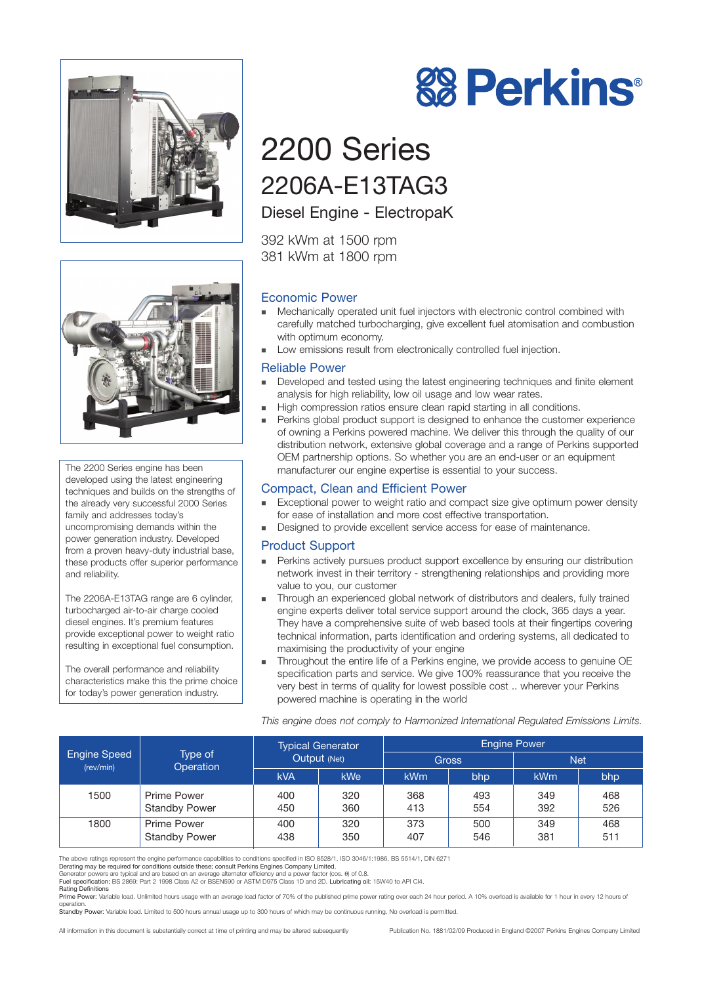



The 2200 Series engine has been developed using the latest engineering techniques and builds on the strengths of the already very successful 2000 Series family and addresses today's uncompromising demands within the power generation industry. Developed from a proven heavy-duty industrial base, these products offer superior performance and reliability.

The 2206A-E13TAG range are 6 cylinder, turbocharged air-to-air charge cooled diesel engines. It's premium features provide exceptional power to weight ratio resulting in exceptional fuel consumption.

The overall performance and reliability characteristics make this the prime choice for today's power generation industry.

# 2200 Series 2206A-E13TAG3

## Diesel Engine - ElectropaK

392 kWm at 1500 rpm 381 kWm at 1800 rpm

## Economic Power

- Mechanically operated unit fuel injectors with electronic control combined with carefully matched turbocharging, give excellent fuel atomisation and combustion with optimum economy.
- Low emissions result from electronically controlled fuel injection.

#### Reliable Power

- Developed and tested using the latest engineering techniques and finite element analysis for high reliability, low oil usage and low wear rates.
- High compression ratios ensure clean rapid starting in all conditions.
- Perkins global product support is designed to enhance the customer experience of owning a Perkins powered machine. We deliver this through the quality of our distribution network, extensive global coverage and a range of Perkins supported OEM partnership options. So whether you are an end-user or an equipment manufacturer our engine expertise is essential to your success.

## Compact, Clean and Efficient Power

- Exceptional power to weight ratio and compact size give optimum power density for ease of installation and more cost effective transportation.
- Designed to provide excellent service access for ease of maintenance.

## Product Support

- **Perkins actively pursues product support excellence by ensuring our distribution** network invest in their territory - strengthening relationships and providing more value to you, our customer
- Through an experienced global network of distributors and dealers, fully trained engine experts deliver total service support around the clock, 365 days a year. They have a comprehensive suite of web based tools at their fingertips covering technical information, parts identification and ordering systems, all dedicated to maximising the productivity of your engine
- Throughout the entire life of a Perkins engine, we provide access to genuine OE specification parts and service. We give 100% reassurance that you receive the very best in terms of quality for lowest possible cost .. wherever your Perkins powered machine is operating in the world

*This engine does not comply to Harmonized International Regulated Emissions Limits.*

| Engine Speed<br>(rev/min) | Type of<br>Operation                | <b>Typical Generator</b><br>Output (Net) |            | <b>Engine Power</b> |            |                 |            |
|---------------------------|-------------------------------------|------------------------------------------|------------|---------------------|------------|-----------------|------------|
|                           |                                     |                                          |            | <b>Gross</b>        |            | <b>Net</b>      |            |
|                           |                                     | <b>kVA</b>                               | kWe        | kWm                 | bhp        | kW <sub>m</sub> | bhp        |
| 1500                      | Prime Power<br><b>Standby Power</b> | 400<br>450                               | 320<br>360 | 368<br>413          | 493<br>554 | 349<br>392      | 468<br>526 |
| 1800                      | Prime Power<br><b>Standby Power</b> | 400<br>438                               | 320<br>350 | 373<br>407          | 500<br>546 | 349<br>381      | 468<br>511 |

The above ratings represent the engine performance capabilities to conditions specified in ISO 8528/1, ISO 3046/1:1986, BS 5514/1, DIN 6271

Derating may be required for conditions outside these; consult Perkins Engines Company Limited.

Generator powers are typical and are based on an average alternator efficiency and a power factor (cos. θ) of 0.8.

Fuel specification: BS 2869: Part 2 1998 Class A2 or BSEN590 or ASTM D975 Class 1D and 2D. Lubricating oil: 15W40 to API CI4. Rating Definitions

Prime Power: Variable load. Unlimited hours usage with an average load factor of 70% of the published prime power rating over each 24 hour period. A 10% overload is available for 1 hour in every 12 hours of operation.<br>**Standby Power:** Variable load. Limited to 500 hours annual usage up to 300 hours of which may be continuous running. No overload is permitted.

All information in this document is substantially correct at time of printing and may be altered subsequently Publication No. 1881/02/09 Produced in England ©2007 Perkins Engines Company Limited